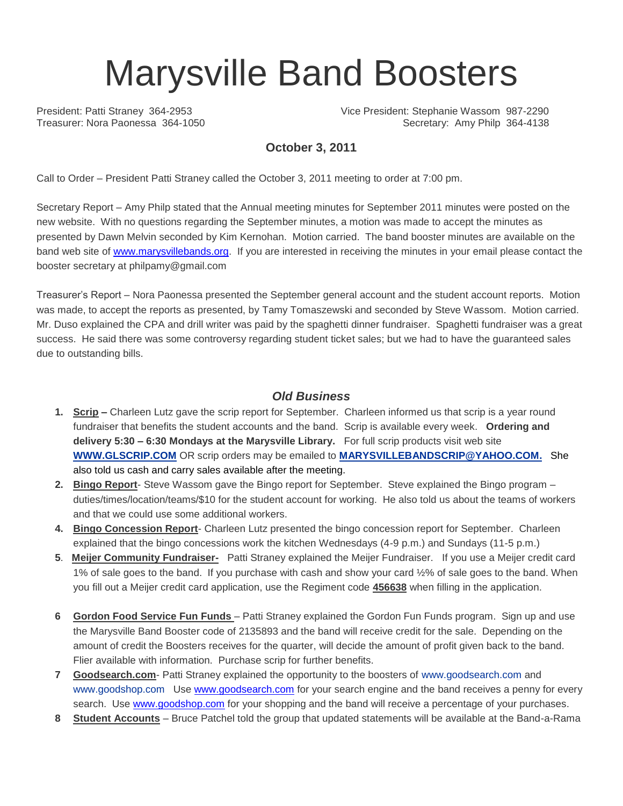# Marysville Band Boosters

President: Patti Straney 364-2953 Vice President: Stephanie Wassom 987-2290 Treasurer: Nora Paonessa 364-1050 Secretary: Amy Philp 364-4138

### **October 3, 2011**

Call to Order – President Patti Straney called the October 3, 2011 meeting to order at 7:00 pm.

Secretary Report – Amy Philp stated that the Annual meeting minutes for September 2011 minutes were posted on the new website. With no questions regarding the September minutes, a motion was made to accept the minutes as presented by Dawn Melvin seconded by Kim Kernohan. Motion carried. The band booster minutes are available on the band web site of [www.marysvillebands.org.](http://www.marysvillebands.org/) If you are interested in receiving the minutes in your email please contact the booster secretary at philpamy@gmail.com

Treasurer's Report – Nora Paonessa presented the September general account and the student account reports. Motion was made, to accept the reports as presented, by Tamy Tomaszewski and seconded by Steve Wassom. Motion carried. Mr. Duso explained the CPA and drill writer was paid by the spaghetti dinner fundraiser. Spaghetti fundraiser was a great success. He said there was some controversy regarding student ticket sales; but we had to have the guaranteed sales due to outstanding bills.

#### *Old Business*

- **1. Scrip –** Charleen Lutz gave the scrip report for September. Charleen informed us that scrip is a year round fundraiser that benefits the student accounts and the band. Scrip is available every week. **Ordering and delivery 5:30 – 6:30 Mondays at the Marysville Library.** For full scrip products visit web site **[WWW.GLSCRIP.COM](http://www.glscrip.com/%20/%20_blank)** OR scrip orders may be emailed to **[MARYSVILLEBANDSCRIP@YAHOO.COM.](http://us.f838.mail.yahoo.com/ym/Compose?To=MARYSVILLEBANDSCRIP@YAHOO.COM%20/%20_blank)** She also told us cash and carry sales available after the meeting.
- **2. Bingo Report** Steve Wassom gave the Bingo report for September. Steve explained the Bingo program duties/times/location/teams/\$10 for the student account for working. He also told us about the teams of workers and that we could use some additional workers.
- **4. Bingo Concession Report** Charleen Lutz presented the bingo concession report for September. Charleen explained that the bingo concessions work the kitchen Wednesdays (4-9 p.m.) and Sundays (11-5 p.m.)
- **5**. **Meijer Community Fundraiser-** Patti Straney explained the Meijer Fundraiser. If you use a Meijer credit card 1% of sale goes to the band. If you purchase with cash and show your card ½% of sale goes to the band. When you fill out a Meijer credit card application, use the Regiment code **456638** when filling in the application.
- **6 Gordon Food Service Fun Funds**  Patti Straney explained the Gordon Fun Funds program. Sign up and use the Marysville Band Booster code of 2135893 and the band will receive credit for the sale. Depending on the amount of credit the Boosters receives for the quarter, will decide the amount of profit given back to the band. Flier available with information. Purchase scrip for further benefits.
- **7 Goodsearch.com** Patti Straney explained the opportunity to the boosters of [www.goodsearch.com](http://www.goodsearch.com/) and [www.goodshop.com](http://www.goodshop.com/) Use [www.goodsearch.com](http://www.goodsearch.com/) for your search engine and the band receives a penny for every search. Use [www.goodshop.com](http://www.goodshop.com/) for your shopping and the band will receive a percentage of your purchases.
- **8 Student Accounts** Bruce Patchel told the group that updated statements will be available at the Band-a-Rama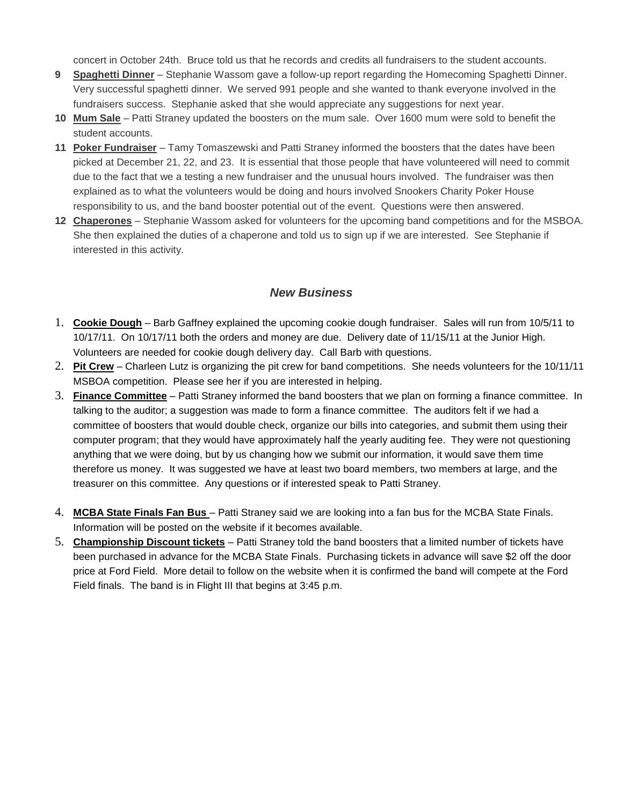concert in October 24th. Bruce told us that he records and credits all fundraisers to the student accounts.

- **9 Spaghetti Dinner** Stephanie Wassom gave a follow-up report regarding the Homecoming Spaghetti Dinner. Very successful spaghetti dinner. We served 991 people and she wanted to thank everyone involved in the fundraisers success. Stephanie asked that she would appreciate any suggestions for next year.
- **10 Mum Sale** Patti Straney updated the boosters on the mum sale. Over 1600 mum were sold to benefit the student accounts.
- **11 Poker Fundraiser** Tamy Tomaszewski and Patti Straney informed the boosters that the dates have been picked at December 21, 22, and 23. It is essential that those people that have volunteered will need to commit due to the fact that we a testing a new fundraiser and the unusual hours involved. The fundraiser was then explained as to what the volunteers would be doing and hours involved Snookers Charity Poker House responsibility to us, and the band booster potential out of the event. Questions were then answered.
- **12 Chaperones** Stephanie Wassom asked for volunteers for the upcoming band competitions and for the MSBOA. She then explained the duties of a chaperone and told us to sign up if we are interested. See Stephanie if interested in this activity.

#### *New Business*

- 1. **Cookie Dough** Barb Gaffney explained the upcoming cookie dough fundraiser. Sales will run from 10/5/11 to 10/17/11. On 10/17/11 both the orders and money are due. Delivery date of 11/15/11 at the Junior High. Volunteers are needed for cookie dough delivery day. Call Barb with questions.
- 2. **Pit Crew** Charleen Lutz is organizing the pit crew for band competitions. She needs volunteers for the 10/11/11 MSBOA competition. Please see her if you are interested in helping.
- 3. **Finance Committee** Patti Straney informed the band boosters that we plan on forming a finance committee. In talking to the auditor; a suggestion was made to form a finance committee. The auditors felt if we had a committee of boosters that would double check, organize our bills into categories, and submit them using their computer program; that they would have approximately half the yearly auditing fee. They were not questioning anything that we were doing, but by us changing how we submit our information, it would save them time therefore us money. It was suggested we have at least two board members, two members at large, and the treasurer on this committee. Any questions or if interested speak to Patti Straney.
- 4. **MCBA State Finals Fan Bus**  Patti Straney said we are looking into a fan bus for the MCBA State Finals. Information will be posted on the website if it becomes available.
- 5. **Championship Discount tickets** Patti Straney told the band boosters that a limited number of tickets have been purchased in advance for the MCBA State Finals. Purchasing tickets in advance will save \$2 off the door price at Ford Field. More detail to follow on the website when it is confirmed the band will compete at the Ford Field finals. The band is in Flight III that begins at 3:45 p.m.